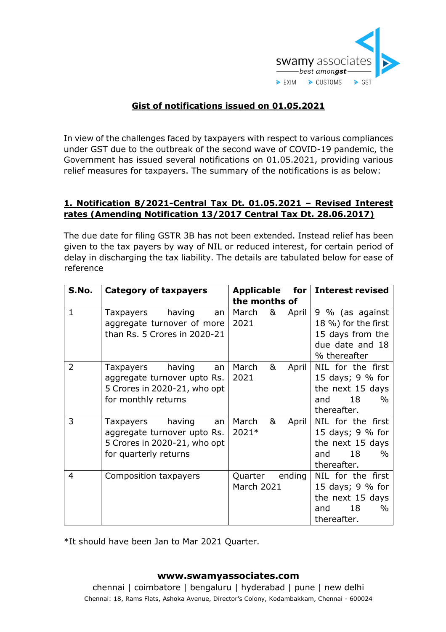

# **Gist of notifications issued on 01.05.2021**

In view of the challenges faced by taxpayers with respect to various compliances under GST due to the outbreak of the second wave of COVID-19 pandemic, the Government has issued several notifications on 01.05.2021, providing various relief measures for taxpayers. The summary of the notifications is as below:

## **1. Notification 8/2021-Central Tax Dt. 01.05.2021 – Revised Interest rates (Amending Notification 13/2017 Central Tax Dt. 28.06.2017)**

The due date for filing GSTR 3B has not been extended. Instead relief has been given to the tax payers by way of NIL or reduced interest, for certain period of delay in discharging the tax liability. The details are tabulated below for ease of reference

| S.No.        | <b>Category of taxpayers</b> | <b>Applicable</b><br>for $ $ | <b>Interest revised</b> |
|--------------|------------------------------|------------------------------|-------------------------|
|              |                              | the months of                |                         |
| $\mathbf{1}$ | having<br>Taxpayers<br>an    | March<br>&<br>April          | 9 % (as against         |
|              | aggregate turnover of more   | 2021                         | 18 %) for the first     |
|              | than Rs. 5 Crores in 2020-21 |                              | 15 days from the        |
|              |                              |                              | due date and 18         |
|              |                              |                              | % thereafter            |
| 2            | having<br>Taxpayers<br>an    | March<br>&<br>April          | NIL for the first       |
|              | aggregate turnover upto Rs.  | 2021                         | 15 days; 9 % for        |
|              | 5 Crores in 2020-21, who opt |                              | the next 15 days        |
|              | for monthly returns          |                              | 18<br>and<br>$\%$       |
|              |                              |                              | thereafter.             |
| 3            | having<br>Taxpayers<br>an    | March<br>&<br>April          | NIL for the first       |
|              | aggregate turnover upto Rs.  | 2021*                        | 15 days; 9 % for        |
|              | 5 Crores in 2020-21, who opt |                              | the next 15 days        |
|              | for quarterly returns        |                              | 18<br>$\%$<br>and       |
|              |                              |                              | thereafter.             |
| 4            | Composition taxpayers        | ending<br>Quarter            | NIL for the first       |
|              |                              | March 2021                   | 15 days; 9 % for        |
|              |                              |                              | the next 15 days        |
|              |                              |                              | 18<br>$\%$<br>and       |
|              |                              |                              | thereafter.             |

\*It should have been Jan to Mar 2021 Quarter.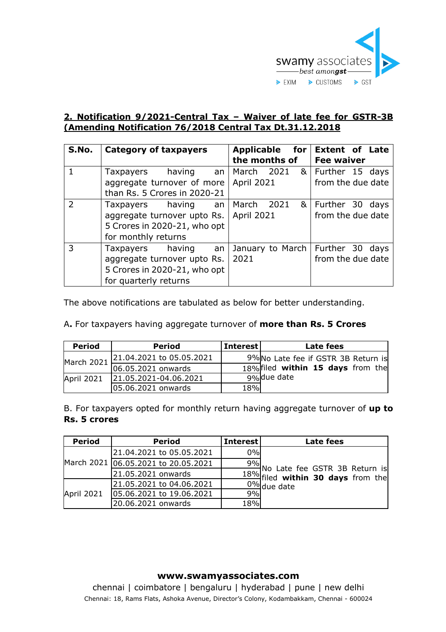

## **2. Notification 9/2021-Central Tax – Waiver of late fee for GSTR-3B (Amending Notification 76/2018 Central Tax Dt.31.12.2018**

| S.No.         | <b>Category of taxpayers</b>     | Applicable for                     | <b>Extent of Late</b> |
|---------------|----------------------------------|------------------------------------|-----------------------|
|               |                                  | the months of                      | <b>Fee waiver</b>     |
|               | Taxpayers having<br>an           | March 2021                         | & Further 15 days     |
|               | aggregate turnover of more       | <b>April 2021</b>                  | from the due date     |
|               | than Rs. 5 Crores in 2020-21     |                                    |                       |
| $\mathcal{L}$ | Taxpayers having an   March 2021 |                                    | & Further 30 days     |
|               | aggregate turnover upto Rs.      | <b>April 2021</b>                  | from the due date     |
|               | 5 Crores in 2020-21, who opt     |                                    |                       |
|               | for monthly returns              |                                    |                       |
| 3             | Taxpayers having an              | January to March   Further 30 days |                       |
|               | aggregate turnover upto Rs.      | 2021                               | from the due date     |
|               | 5 Crores in 2020-21, who opt     |                                    |                       |
|               | for quarterly returns            |                                    |                       |

The above notifications are tabulated as below for better understanding.

A**.** For taxpayers having aggregate turnover of **more than Rs. 5 Crores**

| <b>Period</b> | <b>Period</b>            | <b>Interest</b> | Late fees                           |
|---------------|--------------------------|-----------------|-------------------------------------|
| March 2021    | 21.04.2021 to 05.05.2021 |                 | 9% No Late fee if GSTR 3B Return is |
|               | 06.05.2021 onwards       |                 | 18% filed within 15 days from the   |
| April 2021    | 21.05.2021-04.06.2021    |                 | 9%due date                          |
|               | 05.06.2021 onwards       | 18%             |                                     |

B. For taxpayers opted for monthly return having aggregate turnover of **up to Rs. 5 crores**

| <b>Period</b> | <b>Period</b>                       | <b>Interest</b> | Late fees                                                                                                    |
|---------------|-------------------------------------|-----------------|--------------------------------------------------------------------------------------------------------------|
|               | 21.04.2021 to 05.05.2021            | 0%              |                                                                                                              |
|               | March 2021 06.05.2021 to 20.05.2021 |                 |                                                                                                              |
|               | 21.05.2021 onwards                  |                 | $\frac{9\%}{18\%}$ No Late fee GSTR 3B Return is<br>$\frac{18\%}{12\%}$ filed <b>within 30 days</b> from the |
| April 2021    | 21.05.2021 to 04.06.2021            |                 | $0\%$ due date                                                                                               |
|               | 05.06.2021 to 19.06.2021            | 9%              |                                                                                                              |
|               | 20.06.2021 onwards                  | 18%             |                                                                                                              |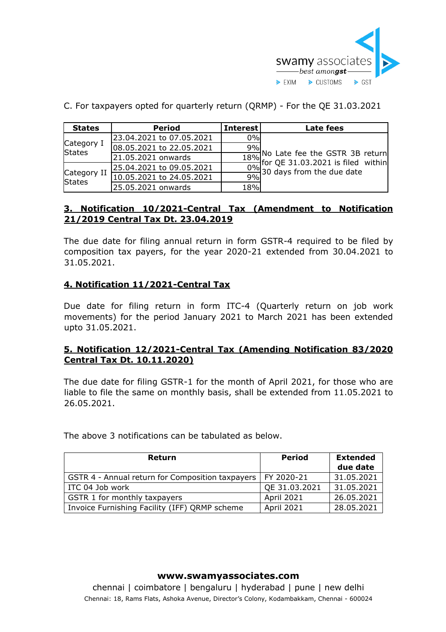

| <b>States</b>                | <b>Period</b>            | <b>Interest</b> | Late fees                                                                                  |
|------------------------------|--------------------------|-----------------|--------------------------------------------------------------------------------------------|
| Category I<br><b>States</b>  | 23.04.2021 to 07.05.2021 | 0%              |                                                                                            |
|                              | 08.05.2021 to 22.05.2021 | 9%              |                                                                                            |
|                              | 21.05.2021 onwards       |                 |                                                                                            |
|                              | 25.04.2021 to 09.05.2021 |                 | $\frac{18\%}{18\%}$ No Late fee the GSTR 3B return<br>0% for QE 31.03.2021 is filed within |
| Category II<br><b>States</b> | 10.05.2021 to 24.05.2021 | 9%              |                                                                                            |
|                              | 25.05.2021 onwards       | 18%             |                                                                                            |

C. For taxpayers opted for quarterly return (QRMP) - For the QE 31.03.2021

### **3. Notification 10/2021-Central Tax (Amendment to Notification 21/2019 Central Tax Dt. 23.04.2019**

The due date for filing annual return in form GSTR-4 required to be filed by composition tax payers, for the year 2020-21 extended from 30.04.2021 to 31.05.2021.

## **4. Notification 11/2021-Central Tax**

Due date for filing return in form ITC-4 (Quarterly return on job work movements) for the period January 2021 to March 2021 has been extended upto 31.05.2021.

## **5. Notification 12/2021-Central Tax (Amending Notification 83/2020 Central Tax Dt. 10.11.2020)**

The due date for filing GSTR-1 for the month of April 2021, for those who are liable to file the same on monthly basis, shall be extended from 11.05.2021 to 26.05.2021.

The above 3 notifications can be tabulated as below.

| <b>Return</b>                                                 | <b>Period</b> | <b>Extended</b><br>due date |
|---------------------------------------------------------------|---------------|-----------------------------|
| GSTR 4 - Annual return for Composition taxpayers   FY 2020-21 |               | 31.05.2021                  |
| ITC 04 Job work                                               | QE 31.03.2021 | 31.05.2021                  |
| GSTR 1 for monthly taxpayers                                  | April 2021    | 26.05.2021                  |
| Invoice Furnishing Facility (IFF) QRMP scheme                 | April 2021    | 28.05.2021                  |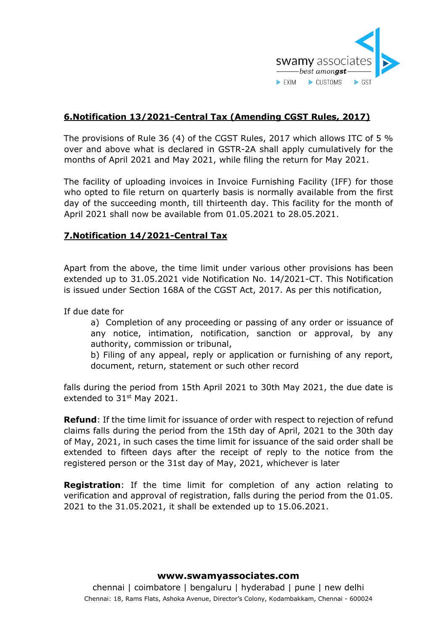

# **6.Notification 13/2021-Central Tax (Amending CGST Rules, 2017)**

The provisions of Rule 36 (4) of the CGST Rules, 2017 which allows ITC of 5 % over and above what is declared in GSTR-2A shall apply cumulatively for the months of April 2021 and May 2021, while filing the return for May 2021.

The facility of uploading invoices in Invoice Furnishing Facility (IFF) for those who opted to file return on quarterly basis is normally available from the first day of the succeeding month, till thirteenth day. This facility for the month of April 2021 shall now be available from 01.05.2021 to 28.05.2021.

# **7.Notification 14/2021-Central Tax**

Apart from the above, the time limit under various other provisions has been extended up to 31.05.2021 vide Notification No. 14/2021-CT. This Notification is issued under Section 168A of the CGST Act, 2017. As per this notification,

If due date for

a) Completion of any proceeding or passing of any order or issuance of any notice, intimation, notification, sanction or approval, by any authority, commission or tribunal,

b) Filing of any appeal, reply or application or furnishing of any report, document, return, statement or such other record

falls during the period from 15th April 2021 to 30th May 2021, the due date is extended to 31<sup>st</sup> May 2021.

**Refund**: If the time limit for issuance of order with respect to rejection of refund claims falls during the period from the 15th day of April, 2021 to the 30th day of May, 2021, in such cases the time limit for issuance of the said order shall be extended to fifteen days after the receipt of reply to the notice from the registered person or the 31st day of May, 2021, whichever is later

**Registration**: If the time limit for completion of any action relating to verification and approval of registration, falls during the period from the 01.05. 2021 to the 31.05.2021, it shall be extended up to 15.06.2021.